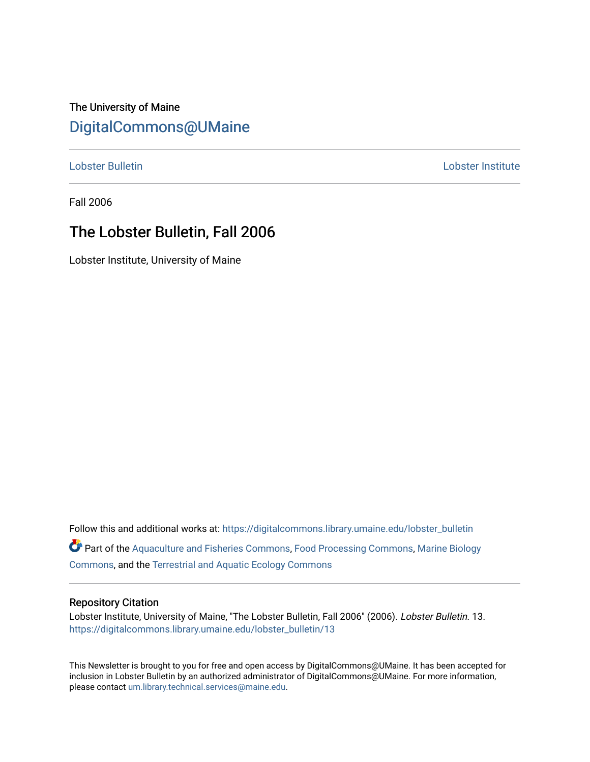The University of Maine [DigitalCommons@UMaine](https://digitalcommons.library.umaine.edu/)

[Lobster Bulletin](https://digitalcommons.library.umaine.edu/lobster_bulletin) [Lobster Institute](https://digitalcommons.library.umaine.edu/lobster) 

Fall 2006

# The Lobster Bulletin, Fall 2006

Lobster Institute, University of Maine

Follow this and additional works at: [https://digitalcommons.library.umaine.edu/lobster\\_bulletin](https://digitalcommons.library.umaine.edu/lobster_bulletin?utm_source=digitalcommons.library.umaine.edu%2Flobster_bulletin%2F13&utm_medium=PDF&utm_campaign=PDFCoverPages) Part of the [Aquaculture and Fisheries Commons](http://network.bepress.com/hgg/discipline/78?utm_source=digitalcommons.library.umaine.edu%2Flobster_bulletin%2F13&utm_medium=PDF&utm_campaign=PDFCoverPages), [Food Processing Commons,](http://network.bepress.com/hgg/discipline/85?utm_source=digitalcommons.library.umaine.edu%2Flobster_bulletin%2F13&utm_medium=PDF&utm_campaign=PDFCoverPages) [Marine Biology](http://network.bepress.com/hgg/discipline/1126?utm_source=digitalcommons.library.umaine.edu%2Flobster_bulletin%2F13&utm_medium=PDF&utm_campaign=PDFCoverPages) [Commons](http://network.bepress.com/hgg/discipline/1126?utm_source=digitalcommons.library.umaine.edu%2Flobster_bulletin%2F13&utm_medium=PDF&utm_campaign=PDFCoverPages), and the [Terrestrial and Aquatic Ecology Commons](http://network.bepress.com/hgg/discipline/20?utm_source=digitalcommons.library.umaine.edu%2Flobster_bulletin%2F13&utm_medium=PDF&utm_campaign=PDFCoverPages) 

#### Repository Citation

Lobster Institute, University of Maine, "The Lobster Bulletin, Fall 2006" (2006). Lobster Bulletin. 13. [https://digitalcommons.library.umaine.edu/lobster\\_bulletin/13](https://digitalcommons.library.umaine.edu/lobster_bulletin/13?utm_source=digitalcommons.library.umaine.edu%2Flobster_bulletin%2F13&utm_medium=PDF&utm_campaign=PDFCoverPages) 

This Newsletter is brought to you for free and open access by DigitalCommons@UMaine. It has been accepted for inclusion in Lobster Bulletin by an authorized administrator of DigitalCommons@UMaine. For more information, please contact [um.library.technical.services@maine.edu.](mailto:um.library.technical.services@maine.edu)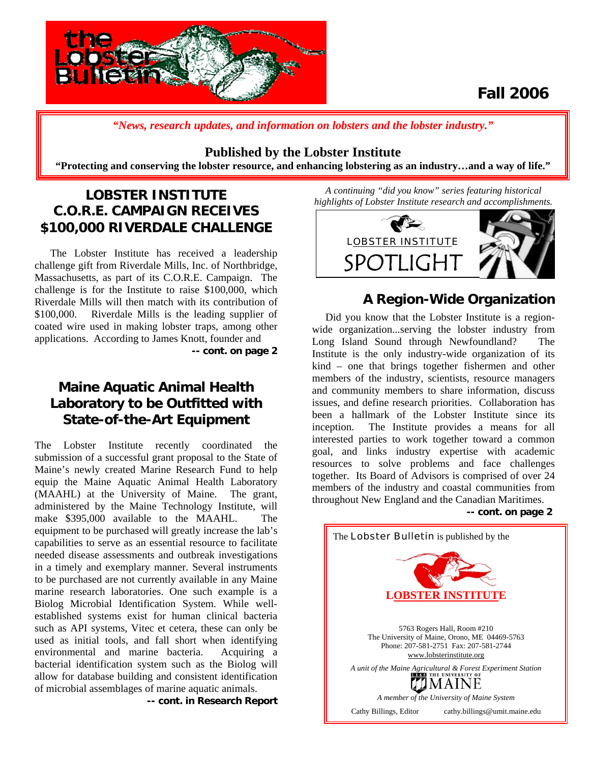

# **Fall 2006**

*"News, research updates, and information on lobsters and the lobster industry."*

### **Published by the Lobster Institute**

**"Protecting and conserving the lobster resource, and enhancing lobstering as an industry…and a way of life."** 

# **LOBSTER INSTITUTE C.O.R.E. CAMPAIGN RECEIVES \$100,000 RIVERDALE CHALLENGE**

The Lobster Institute has received a leadership challenge gift from Riverdale Mills, Inc. of Northbridge, Massachusetts, as part of its C.O.R.E. Campaign. The challenge is for the Institute to raise \$100,000, which Riverdale Mills will then match with its contribution of \$100,000. Riverdale Mills is the leading supplier of coated wire used in making lobster traps, among other applications. According to James Knott, founder and

**-- cont. on page 2** 

## **Maine Aquatic Animal Health Laboratory to be Outfitted with State-of-the-Art Equipment**

The Lobster Institute recently coordinated the submission of a successful grant proposal to the State of Maine's newly created Marine Research Fund to help equip the Maine Aquatic Animal Health Laboratory (MAAHL) at the University of Maine. The grant, administered by the Maine Technology Institute, will make \$395,000 available to the MAAHL. The equipment to be purchased will greatly increase the lab's capabilities to serve as an essential resource to facilitate needed disease assessments and outbreak investigations in a timely and exemplary manner. Several instruments to be purchased are not currently available in any Maine marine research laboratories. One such example is a Biolog Microbial Identification System. While wellestablished systems exist for human clinical bacteria such as API systems, Vitec et cetera, these can only be used as initial tools, and fall short when identifying environmental and marine bacteria. Acquiring a bacterial identification system such as the Biolog will allow for database building and consistent identification of microbial assemblages of marine aquatic animals.

**-- cont. in Research Report**

*A continuing "did you know" series featuring historical highlights of Lobster Institute research and accomplishments.* 



## **A Region-Wide Organization**

 Did you know that the Lobster Institute is a regionwide organization...serving the lobster industry from Long Island Sound through Newfoundland? The Institute is the only industry-wide organization of its kind – one that brings together fishermen and other members of the industry, scientists, resource managers and community members to share information, discuss issues, and define research priorities. Collaboration has been a hallmark of the Lobster Institute since its inception. The Institute provides a means for all interested parties to work together toward a common goal, and links industry expertise with academic resources to solve problems and face challenges together. Its Board of Advisors is comprised of over 24 members of the industry and coastal communities from throughout New England and the Canadian Maritimes.

**-- cont. on page 2**

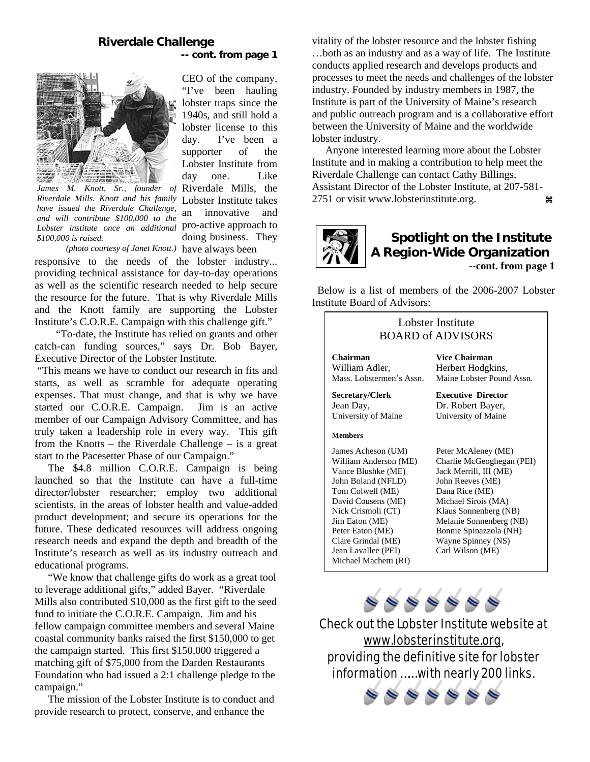#### **Riverdale Challenge -- cont. from page 1**

CEO of the company, "I've been hauling lobster traps since the 1940s, and still hold a lobster license to this day. I've been a supporter of the Lobster Institute from day one. Like

an innovative and

doing business. They



James M. Knott, Sr., founder of Riverdale Mills, the Riverdale Mills. Knott and his family Lobster Institute takes pro-active approach to *Lobster institute once an additional have issued the Riverdale Challenge, and will contribute \$100,000 to the \$100,000 is raised.* 

(photo courtesy of Janet Knott.) have always been

responsive to the needs of the lobster industry... providing technical assistance for day-to-day operations as well as the scientific research needed to help secure the resource for the future. That is why Riverdale Mills and the Knott family are supporting the Lobster Institute's C.O.R.E. Campaign with this challenge gift."

 "To-date, the Institute has relied on grants and other catch-can funding sources," says Dr. Bob Bayer, Executive Director of the Lobster Institute.

 "This means we have to conduct our research in fits and starts, as well as scramble for adequate operating expenses. That must change, and that is why we have started our C.O.R.E. Campaign. Jim is an active member of our Campaign Advisory Committee, and has truly taken a leadership role in every way. This gift from the Knotts – the Riverdale Challenge – is a great start to the Pacesetter Phase of our Campaign."

The \$4.8 million C.O.R.E. Campaign is being launched so that the Institute can have a full-time director/lobster researcher; employ two additional scientists, in the areas of lobster health and value-added product development; and secure its operations for the future. These dedicated resources will address ongoing research needs and expand the depth and breadth of the Institute's research as well as its industry outreach and educational programs.

 "We know that challenge gifts do work as a great tool to leverage additional gifts," added Bayer. "Riverdale Mills also contributed \$10,000 as the first gift to the seed fund to initiate the C.O.R.E. Campaign. Jim and his fellow campaign committee members and several Maine coastal community banks raised the first \$150,000 to get the campaign started. This first \$150,000 triggered a matching gift of \$75,000 from the Darden Restaurants Foundation who had issued a 2:1 challenge pledge to the campaign."

 The mission of the Lobster Institute is to conduct and provide research to protect, conserve, and enhance the

vitality of the lobster resource and the lobster fishing …both as an industry and as a way of life. The Institute conducts applied research and develops products and processes to meet the needs and challenges of the lobster industry. Founded by industry members in 1987, the Institute is part of the University of Maine's research and public outreach program and is a collaborative effort between the University of Maine and the worldwide lobster industry.

 Anyone interested learning more about the Lobster Institute and in making a contribution to help meet the Riverdale Challenge can contact Cathy Billings, Assistant Director of the Lobster Institute, at 207-581 2751 or visit [www.lobsterinstitute.org.](http://www.lobsterinstitute.org/)  $\mathbf{\mathfrak{g}}$ 



 Below is a list of members of the 2006-2007 Lobster Institute Board of Advisors:

| Lobster Institute<br><b>BOARD of ADVISORS</b>                                                                                                                                                                                                                       |                                                                                                                                                                                                                                                                 |
|---------------------------------------------------------------------------------------------------------------------------------------------------------------------------------------------------------------------------------------------------------------------|-----------------------------------------------------------------------------------------------------------------------------------------------------------------------------------------------------------------------------------------------------------------|
| Chairman<br>William Adler,<br>Mass. Lobstermen's Assn.                                                                                                                                                                                                              | Vice Chairman<br>Herbert Hodgkins,<br>Maine Lobster Pound Assn.                                                                                                                                                                                                 |
| Secretary/Clerk<br>Jean Day,<br>University of Maine                                                                                                                                                                                                                 | <b>Executive Director</b><br>Dr. Robert Bayer,<br>University of Maine                                                                                                                                                                                           |
| <b>Members</b>                                                                                                                                                                                                                                                      |                                                                                                                                                                                                                                                                 |
| James Acheson (UM)<br>William Anderson (ME)<br>Vance Blushke (ME)<br>John Boland (NFLD)<br>Tom Colwell (ME)<br>David Cousens (ME)<br>Nick Crismoli (CT)<br>Jim Eaton (ME)<br>Peter Eaton (ME)<br>Clare Grindal (ME)<br>Jean Lavallee (PEI)<br>Michael Machetti (RI) | Peter McAleney (ME)<br>Charlie McGeoghegan (PEI)<br>Jack Merrill, III (ME)<br>John Reeves (ME)<br>Dana Rice (ME)<br>Michael Sirois (MA)<br>Klaus Sonnenberg (NB)<br>Melanie Sonnenberg (NB)<br>Bonnie Spinazzola (NH)<br>Wayne Spinney (NS)<br>Carl Wilson (ME) |

 $\begin{array}{l} \circledast \circledast \circledast \circledast \circledast \end{array}$ 

Check out the Lobster Institute website at [www.lobsterinstitute.org](http://www.lobsterinstitute.org/), providing the definitive site for lobster information …… with nearly 200 links.

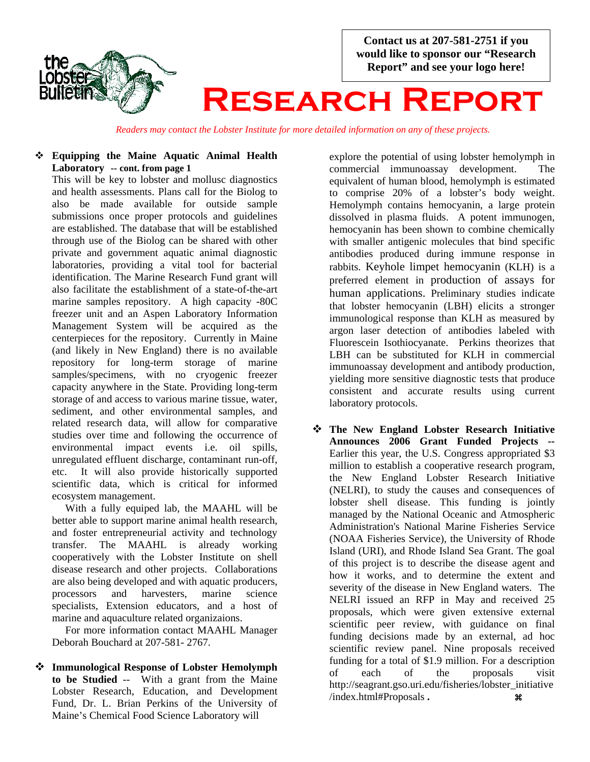

*Readers may contact the Lobster Institute for more detailed information on any of these projects.*

### **Equipping the Maine Aquatic Animal Health Laboratory -- cont. from page 1**

This will be key to lobster and mollusc diagnostics and health assessments. Plans call for the Biolog to also be made available for outside sample submissions once proper protocols and guidelines are established. The database that will be established through use of the Biolog can be shared with other private and government aquatic animal diagnostic laboratories, providing a vital tool for bacterial identification. The Marine Research Fund grant will also facilitate the establishment of a state-of-the-art marine samples repository. A high capacity -80C freezer unit and an Aspen Laboratory Information Management System will be acquired as the centerpieces for the repository. Currently in Maine (and likely in New England) there is no available repository for long-term storage of marine samples/specimens, with no cryogenic freezer capacity anywhere in the State. Providing long-term storage of and access to various marine tissue, water, sediment, and other environmental samples, and related research data, will allow for comparative studies over time and following the occurrence of environmental impact events i.e. oil spills, unregulated effluent discharge, contaminant run-off, etc. It will also provide historically supported scientific data, which is critical for informed ecosystem management.

 With a fully equiped lab, the MAAHL will be better able to support marine animal health research, and foster entrepreneurial activity and technology transfer. The MAAHL is already working cooperatively with the Lobster Institute on shell disease research and other projects. Collaborations are also being developed and with aquatic producers, processors and harvesters, marine science specialists, Extension educators, and a host of marine and aquaculture related organizaions.

 For more information contact MAAHL Manager Deborah Bouchard at 207-581- 2767.

 **Immunological Response of Lobster Hemolymph to be Studied** -- With a grant from the Maine Lobster Research, Education, and Development Fund, Dr. L. Brian Perkins of the University of Maine's Chemical Food Science Laboratory will

explore the potential of using lobster hemolymph in commercial immunoassay development. The equivalent of human blood, hemolymph is estimated to comprise 20% of a lobster's body weight. Hemolymph contains hemocyanin, a large protein dissolved in plasma fluids. A potent immunogen, hemocyanin has been shown to combine chemically with smaller antigenic molecules that bind specific antibodies produced during immune response in rabbits. Keyhole limpet hemocyanin (KLH) is a preferred element in production of assays for human applications. Preliminary studies indicate that lobster hemocyanin (LBH) elicits a stronger immunological response than KLH as measured by argon laser detection of antibodies labeled with Fluorescein Isothiocyanate. Perkins theorizes that LBH can be substituted for KLH in commercial immunoassay development and antibody production, yielding more sensitive diagnostic tests that produce consistent and accurate results using current laboratory protocols.

 **The New England Lobster Research Initiative Announces 2006 Grant Funded Projects --**  Earlier this year, the U.S. Congress appropriated \$3 million to establish a cooperative research program, the New England Lobster Research Initiative (NELRI), to study the causes and consequences of lobster shell disease. This funding is jointly managed by the National Oceanic and Atmospheric Administration's National Marine Fisheries Service (NOAA Fisheries Service), the [University of Rhode](http://www.uri.edu/)  [Island](http://www.uri.edu/) (URI), and [Rhode Island Sea Grant](http://seagrant.gso.uri.edu/). The goal of this project is to describe the disease agent and how it works, and to determine the extent and severity of the disease in New England waters. The NELRI issued an RFP in May and received 25 proposals, which were given extensive external scientific peer review, with guidance on final funding decisions made by an external, ad hoc scientific review panel. Nine proposals received funding for a total of \$1.9 million. For a description of each of the proposals visit http://seagrant.gso.uri.edu/fisheries/lobster\_initiative /index.html#Proposals . **a**